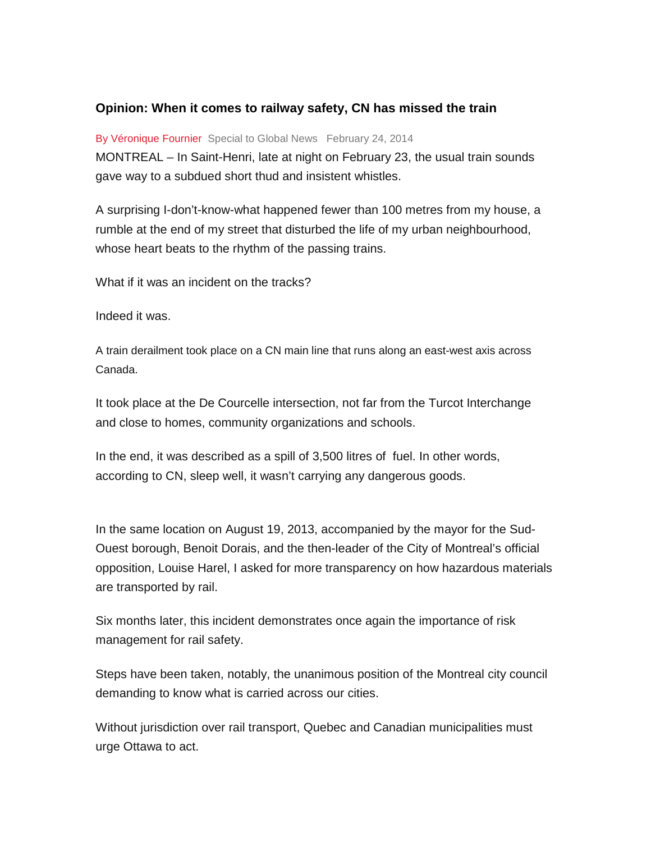## **Opinion: When it comes to railway safety, CN has missed the train**

By Véronique Fournier Special to Global News February 24, 2014

MONTREAL – In Saint-Henri, late at night on February 23, the usual train sounds gave way to a subdued short thud and insistent whistles.

A surprising I-don't-know-what happened fewer than 100 metres from my house, a rumble at the end of my street that disturbed the life of my urban neighbourhood, whose heart beats to the rhythm of the passing trains.

What if it was an incident on the tracks?

Indeed it was.

A train derailment took place on a CN main line that runs along an east-west axis across Canada.

It took place at the De Courcelle intersection, not far from the Turcot Interchange and close to homes, community organizations and schools.

In the end, it was described as a spill of 3,500 litres of fuel. In other words, according to CN, sleep well, it wasn't carrying any dangerous goods.

In the same location on August 19, 2013, accompanied by the mayor for the Sud-Ouest borough, Benoit Dorais, and the then-leader of the City of Montreal's official opposition, Louise Harel, I asked for more transparency on how hazardous materials are transported by rail.

Six months later, this incident demonstrates once again the importance of risk management for rail safety.

Steps have been taken, notably, the unanimous position of the Montreal city council demanding to know what is carried across our cities.

Without jurisdiction over rail transport, Quebec and Canadian municipalities must urge Ottawa to act.